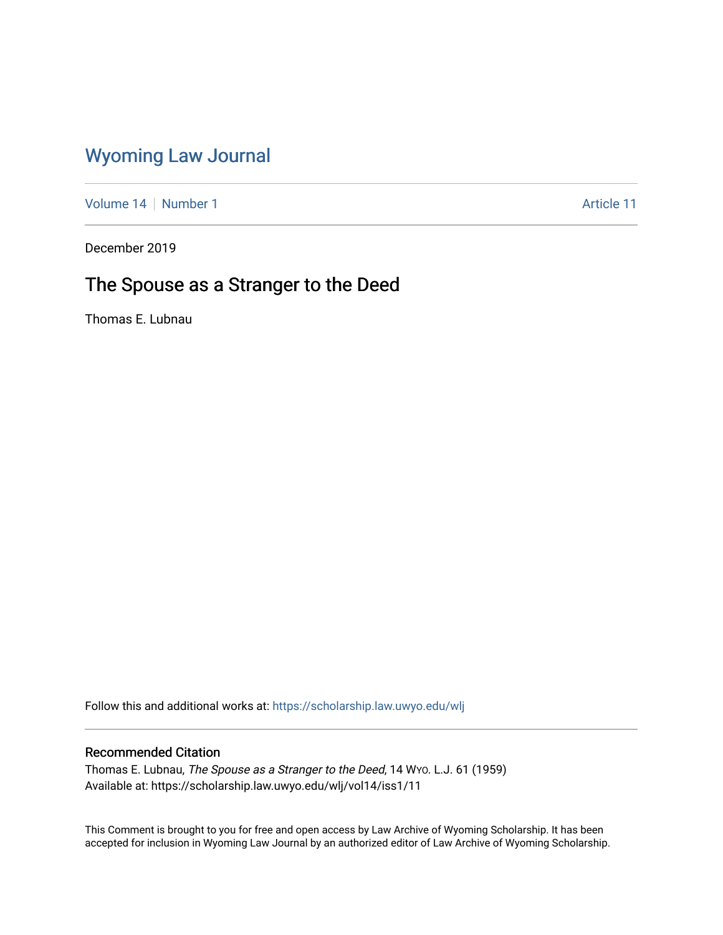## [Wyoming Law Journal](https://scholarship.law.uwyo.edu/wlj)

[Volume 14](https://scholarship.law.uwyo.edu/wlj/vol14) | [Number 1](https://scholarship.law.uwyo.edu/wlj/vol14/iss1) Article 11

December 2019

# The Spouse as a Stranger to the Deed

Thomas E. Lubnau

Follow this and additional works at: [https://scholarship.law.uwyo.edu/wlj](https://scholarship.law.uwyo.edu/wlj?utm_source=scholarship.law.uwyo.edu%2Fwlj%2Fvol14%2Fiss1%2F11&utm_medium=PDF&utm_campaign=PDFCoverPages) 

## Recommended Citation

Thomas E. Lubnau, The Spouse as a Stranger to the Deed, 14 Wyo. L.J. 61 (1959) Available at: https://scholarship.law.uwyo.edu/wlj/vol14/iss1/11

This Comment is brought to you for free and open access by Law Archive of Wyoming Scholarship. It has been accepted for inclusion in Wyoming Law Journal by an authorized editor of Law Archive of Wyoming Scholarship.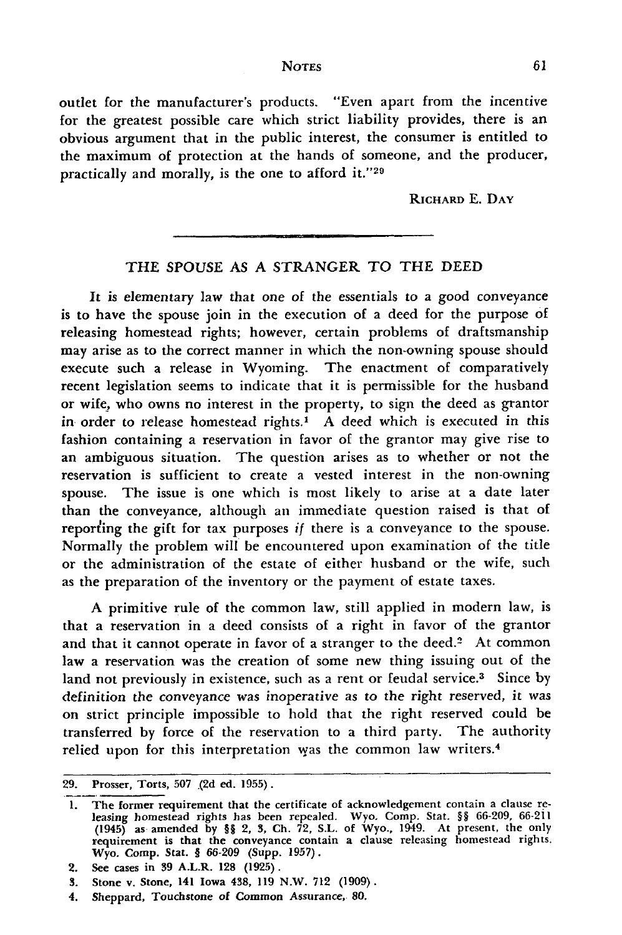*NOTES*

outlet for the manufacturer's products. "Even apart from the incentive for the greatest possible care which strict liability provides, there is an obvious argument that in the public interest, the consumer is entitled to the maximum of protection at the hands of someone, and the producer, practically and morally, is the one to afford **it."29**

RICHARD **E. DAY**

### THE SPOUSE AS A STRANGER TO THE DEED

It is elementary law that one of the essentials to a good conveyance is to have the spouse join in the execution of a deed for the purpose of releasing homestead rights; however, certain problems of draftsmanship may arise as to the correct manner in which the non-owning spouse should execute such a release in Wyoming. The enactment of comparatively recent legislation seems to indicate that it is permissible for the husband or wife, who owns no interest in the property, to sign the deed as grantor in order to release homestead rights.' *A* deed which is executed in this fashion containing a reservation in favor of the grantor may give rise to an ambiguous situation. The question arises as to whether or not the reservation is sufficient to create a vested interest in the non-owning spouse. The issue is one which is most likely to arise at a date later than the conveyance, although an immediate question raised is that of reporting the gift for tax purposes *if* there is a conveyance to the spouse. Normally the problem will be encountered upon examination of the title or the administration of the estate of either husband or the wife, such as the preparation of the inventory or the payment of estate taxes.

A primitive rule of the common law, still applied in modern law, is that a reservation in a deed consists of a right in favor of the grantor and that it cannot operate in favor of a stranger to the deed. $2$  At common law a reservation was the creation of some new thing issuing out of the land not previously in existence, such as a rent or feudal service.<sup>3</sup> Since by definition the conveyance was inoperative as to the right reserved, it was on strict principle impossible to hold that the right reserved could be transferred by force of the reservation to a third party. The authority relied upon for this interpretation was the common law writers.<sup>4</sup>

**<sup>29.</sup>** Prosser, Torts, **507 .(2d** ed. **1955).**

**<sup>1.</sup>** The former requirement that the certificate of acknowledgement contain a clause releasing homestead rights has been repealed. Wyo. Comp. Stat. §§ **66-209, 66-211** (1945) as amended **by §§** 2, **3, Ch. 72, S.L.** of Wyo., 1949. At present, the only requirement is that the conveyance contain a clause releasing homestead rights Wyo. Comp. Stat. § **66-209** (Supp. **1957).**

<sup>2.</sup> See cases in **39** A.L.R. **128 (1925).**

**<sup>3.</sup>** Stone v. Stone, 141 Iowa 438, **119** N.W. **712 (1909).**

<sup>4.</sup> Sheppard, Touchstone of Common Assurance, **80.**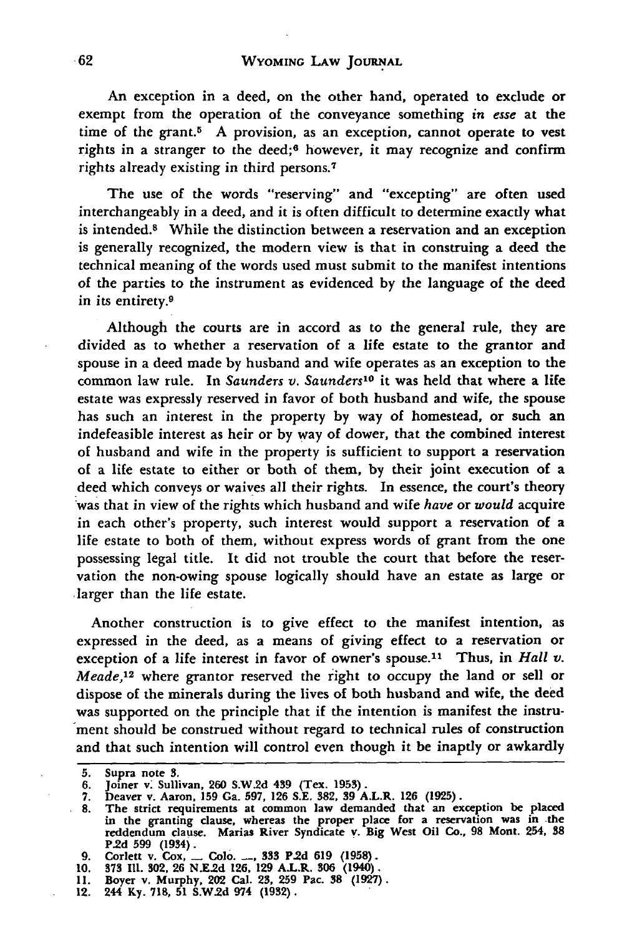An exception in a deed, on the other hand, operated to exclude or exempt from the operation of the conveyance something *in esse* at the time of the grant.<sup>5</sup> A provision, as an exception, cannot operate to vest rights in a stranger to the deed;6 however, **it** may recognize and confirm rights already existing in third persons. <sup>7</sup>

The use of the words "reserving" and "excepting" are often used interchangeably in a deed, and it is often difficult to determine exactly what is intended.8 While the distinction between a reservation and an exception is generally recognized, the modern view is that in construing a deed the technical meaning of the words used must submit to the manifest intentions of the parties to the instrument as evidenced **by** the language of the deed in its entirety.9

Although the courts are in accord as to the general rule, they are divided as to whether a reservation of a life estate to the grantor and spouse in a deed made by husband and wife operates as an exception to the common law rule. In *Saunders v. Saunders10* **it** was held that where a life estate was expressly reserved in favor of both husband and wife, the spouse has such an interest in the property by way of homestead, or such an indefeasible interest as heir or by way of dower, that the combined interest of husband and wife in the property is sufficient to support a reservation of a life estate to either or both of them, **by** their joint execution of a deed which conveys or waives all their rights. In essence, the court's theory was that in view of the rights which husband and wife *have* or *would* acquire in each other's property, such interest would support a reservation of a life estate to both of them, without express words of grant from the one possessing legal title. It did not trouble the court that before the reservation the non-owing spouse logically should have an estate as large or .larger than the life estate.

Another construction is to give effect to the manifest intention, as expressed in the deed, as a means of giving effect to a reservation or exception of a life interest in favor of owner's spouse.<sup>11</sup> Thus, in *Hall v*. *Meade,12* where grantor reserved the right to occupy the land or sell or dispose of the minerals during the lives of both husband and wife, the deed was supported on the principle that if the intention is manifest the instrument should be construed without regard to technical rules of construction and that such intention will control even though it be inaptly or awkardly

**9. Corlett v.** Cox, **- Colo. -, 333 P.2d 619 (1958).**

**<sup>5.</sup> Supra note 3.**

**<sup>6.</sup> Joiner v. Sullivan, 260 S.W.2d 439 (Tex. 1953).**

**<sup>7.</sup> Deaver v. Aaron, 159 Ga. 597, 126 S.E. 382, 39 A.L.R. 126 (1925).**

**<sup>8.</sup> The strict requirements at common law demanded that** an **exception be placed in the granting clause, whereas the proper place for a reservation was in the reddendum clause. Marias River Syndicate v. Big West Oil Co., 98 Mont. 254, 38 P.2d 599 (1934).**

**<sup>10. 373</sup> Il. 302, 26 N.E.2d 126, 129 A.L.R. 306 (1940). 11. Boyer v. Murphy, 202 Cal. 23, 259 Pac. 38 (1927).**

**<sup>12. 244</sup> Ky. 718, 51 S.W.2d 974 (1932).**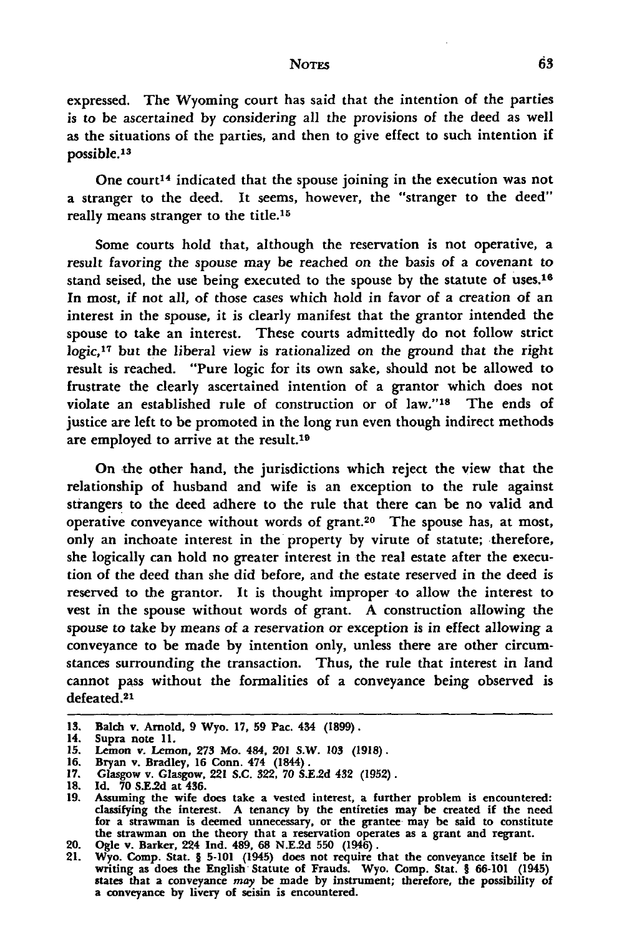#### **NOTES**

expressed. The Wyoming court has said that the intention of the parties is to **be** ascertained **by** considering all the provisions of the deed as well as the situations of the parties, and then to give effect to such intention if possible.<sup>13</sup>

One court<sup>14</sup> indicated that the spouse joining in the execution was not a stranger to the deed. It seems, however, the "stranger to the deed" really means stranger to the title.<sup>15</sup>

Some courts hold that, although the reservation is not operative, a result favoring the spouse may **be** reached on the basis of a covenant to stand seised, the use being executed to the spouse **by** the statute of uses.<sup>16</sup> In most, if not all, of those cases which hold in favor of a creation of an interest in the spouse, it is clearly manifest that the grantor intended the spouse to take an interest. These courts admittedly do not follow strict **logic, <sup>17</sup>**but the liberal view is rationalized on the ground that the right result is reached. "Pure logic for its own sake, should not be allowed to frustrate the clearly ascertained intention of a grantor which does not violate an established rule of construction or of law."<sup>18</sup> The ends of justice are left to be promoted in the long run even though indirect methods are employed to arrive at the result.<sup>19</sup>

On the other hand, the jurisdictions which reject the view that the relationship of husband and wife is an exception to the rule against strangers to the deed adhere to the rule that there can be no valid and operative conveyance without words of grant.20 The spouse has, at most, only an inchoate interest in the property **by** virute of statute; therefore, she logically can hold no greater interest in the real estate after the execution of the deed than she did before, and the estate reserved in the deed is reserved to the grantor. It is thought improper to allow the interest to vest in the spouse without words of grant. A construction allowing the spouse to take **by** means of a reservation or exception is in effect allowing a conveyance to be made **by** intention only, unless there are other circumstances surrounding the transaction. Thus, the rule that interest in land cannot pass without the formalities of a conveyance being observed is defeated.<sup>21</sup>

**<sup>13.</sup>** Balch v. Arnold, **9** Wyo. **17, 59** Pac. 434 **(1899).**

<sup>14.</sup> Supra note **11.**

**<sup>15.</sup>** Lemon v. Lemon, **273** Mo. 484, 201 S.W. **103 (1918). 16.** Bryan v. Bradley, **16** Conn. 474 (1844).

**<sup>17.</sup>** Glasgow v. Glasgow, 221 **S.C. 322, 70 S.E.2d** 432 **(1952).**

**<sup>18.</sup> Id. 70 S.E.2d** at 456.

**<sup>19.</sup>** Assuming the wife does take a vested interest, a further problem is encountered: classifying the interest. **A** tenancy **by** the entireties may be created if the need for a strawman is deemed unnecessary, or the grantee may be said to constitute the strawman on the theory that a reservation operates as a grant and regrant. 20. Ogle v. Barker, 224 **Ind.** 489, **68 N.E.2d 550** (1946).

<sup>21.</sup> Wyo. Comp. Stat. § 5-101 (1945) does not require that the conveyance itself be in writing as does the English Statute of Frauds. Wyo. Comp. Stat. § 66-101 (1945) states that a conveyance may be made by instrument; ther a conveyance **by** livery of seisin is encountered.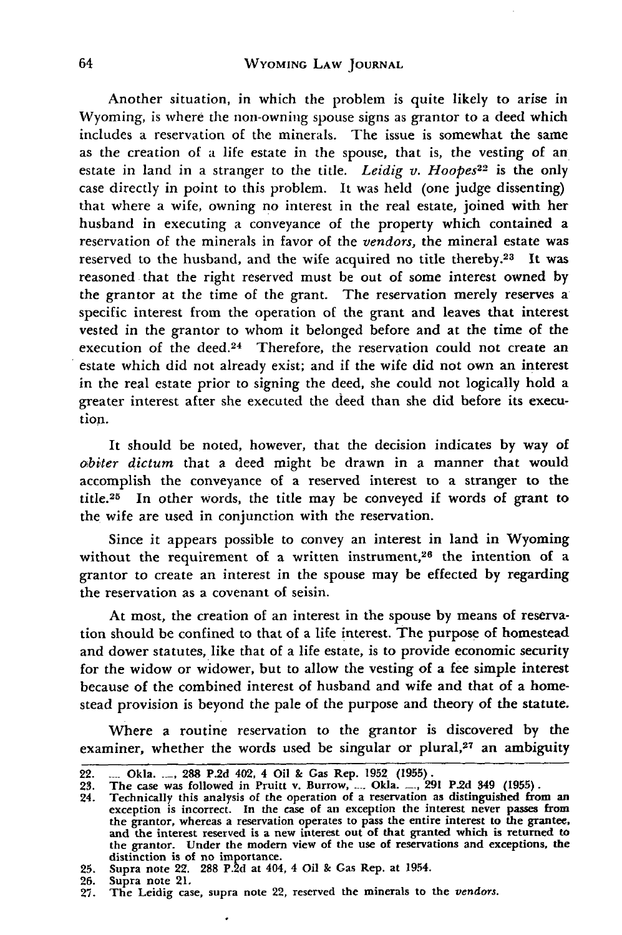Another situation, in which the problem is quite likely to arise in Wyoming, is where the non-owning spouse signs as grantor to a deed which includes a reservation of the minerals. The issue is somewhat the same as the creation of a life estate in the spouse, that is, the vesting of an estate in land in a stranger to the title. *Leidig v. Hoopes*<sup>22</sup> is the only case directly in point to this problem. It was held (one judge dissenting) that where a wife, owning no interest in the real estate, joined with her husband in executing a conveyance of the property which contained a reservation of the minerals in favor of the *vendors,* the mineral estate was reserved to the husband, and the wife acquired no title thereby.<sup>23</sup> It was reasoned that the right reserved must be out of some interest owned by the grantor at the time of the grant. The reservation merely reserves a specific interest from the operation of the grant and leaves that interest vested in the grantor to whom it belonged before and at the time of the execution of the deed. $24$  Therefore, the reservation could not create an estate which did not already exist; and if the wife did not own an interest in the real estate prior to signing the deed, she could not logically hold a greater interest after she executed the deed than she did before its execution.

It should be noted, however, that the decision indicates by way of *obiter dictum* that a deed might be drawn in a manner that would accomplish the conveyance of a reserved interest to a stranger to the title. 25 In other words, the title may be conveyed if words of grant to the wife are used in conjunction with the reservation.

Since it appears possible to convey an interest in land in Wyoming without the requirement of a written instrument,<sup>26</sup> the intention of a grantor to create an interest in the spouse may be effected by regarding the reservation as a covenant of seisin.

At most, the creation of an interest in the spouse by means of reservation should be confined to that of a life interest. The purpose of homestead and dower statutes, like that of a life estate, is to provide economic security for the widow or widower, but to allow the vesting of a fee simple interest because of the combined interest of husband and wife and that of a homestead provision is beyond the pale of the purpose and theory of the statute.

Where a routine reservation to the grantor is discovered **by** the examiner, whether the words used be singular or plural,<sup>27</sup> an ambiguity

<sup>22. .....</sup> Okla. ...., 288 P.2d 402, 4 Oil & Gas Rep. 1952 (1955).<br>23. The case was followed in Pruitt v. Burrow, .... Okla. ..., 29.

<sup>23.</sup> The case was followed in Pruitt v. Burrow, .... Okla. ..., 291 P.2d 349 (1955).<br>24. Technically this analysis of the operation of a reservation as distinguished fro

<sup>24.</sup> Technically this analysis of the operation of a reservation as distinguished from an exception is incorrect. In the case of an exception the interest never passes from the grantor, whereas a reservation operates to pass the entire interest to the grantee, and the interest reserved is a new interest out of that granted which is returned to the grantor. Under the modern view of the use of reservations and exceptions, the distinction is of no importance.

**<sup>25.</sup>** Supra note 22. **288 P.2d** at 404, 4 Oil **&** Gas Rep. at 1954. **26.** Supra note 21.

**<sup>27.</sup>** The Leidig case, supra note 22, reserved the minerals to the *vendors.*